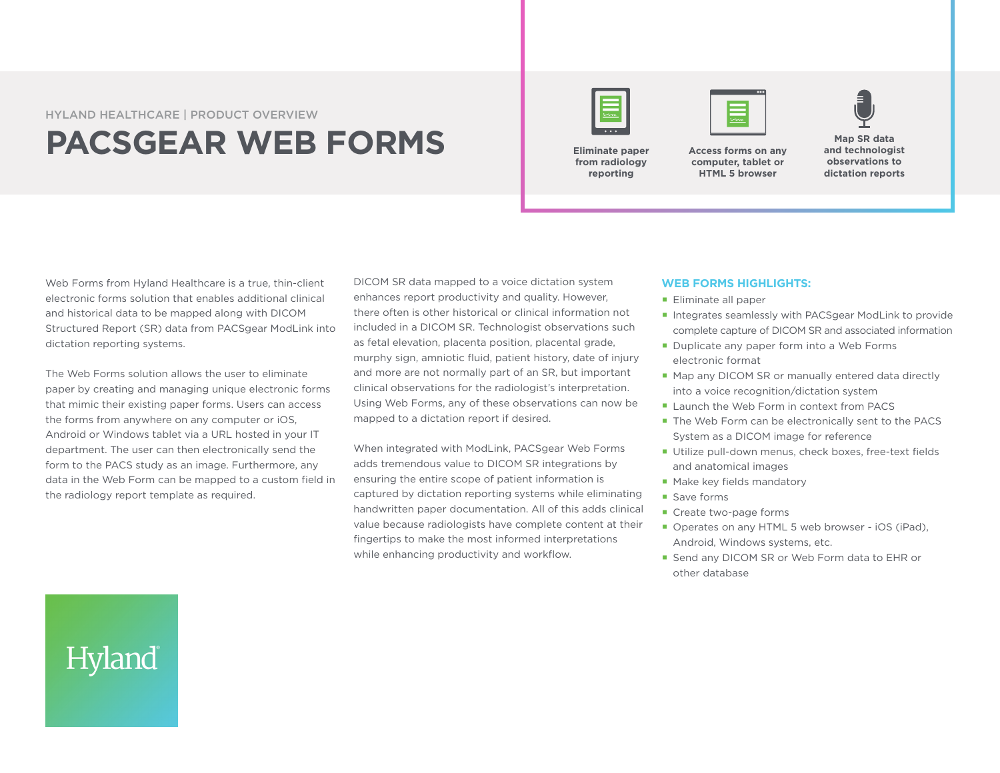## HYLAND HEALTHCARE | PRODUCT OVERVIEW **PACSGEAR WEB FORMS Eliminate paper**







**from radiology reporting**

**Access forms on any computer, tablet or HTML 5 browser**

**Map SR data and technologist observations to dictation reports**

Web Forms from Hyland Healthcare is a true, thin-client electronic forms solution that enables additional clinical and historical data to be mapped along with DICOM Structured Report (SR) data from PACSgear ModLink into dictation reporting systems.

The Web Forms solution allows the user to eliminate paper by creating and managing unique electronic forms that mimic their existing paper forms. Users can access the forms from anywhere on any computer or iOS, Android or Windows tablet via a URL hosted in your IT department. The user can then electronically send the form to the PACS study as an image. Furthermore, any data in the Web Form can be mapped to a custom field in the radiology report template as required.

DICOM SR data mapped to a voice dictation system enhances report productivity and quality. However, there often is other historical or clinical information not included in a DICOM SR. Technologist observations such as fetal elevation, placenta position, placental grade, murphy sign, amniotic fluid, patient history, date of injury and more are not normally part of an SR, but important clinical observations for the radiologist's interpretation. Using Web Forms, any of these observations can now be mapped to a dictation report if desired.

When integrated with ModLink, PACSgear Web Forms adds tremendous value to DICOM SR integrations by ensuring the entire scope of patient information is captured by dictation reporting systems while eliminating handwritten paper documentation. All of this adds clinical value because radiologists have complete content at their fingertips to make the most informed interpretations while enhancing productivity and workflow.

## **WEB FORMS HIGHLIGHTS:**

- **Eliminate all paper**
- Integrates seamlessly with PACSgear ModLink to provide complete capture of DICOM SR and associated information
- Duplicate any paper form into a Web Forms electronic format
- Map any DICOM SR or manually entered data directly into a voice recognition/dictation system
- **Launch the Web Form in context from PACS**
- The Web Form can be electronically sent to the PACS System as a DICOM image for reference
- Utilize pull-down menus, check boxes, free-text fields and anatomical images
- Make key fields mandatory
- Save forms
- Create two-page forms
- Operates on any HTML 5 web browser iOS (iPad), Android, Windows systems, etc.
- Send any DICOM SR or Web Form data to EHR or other database

## Hyland